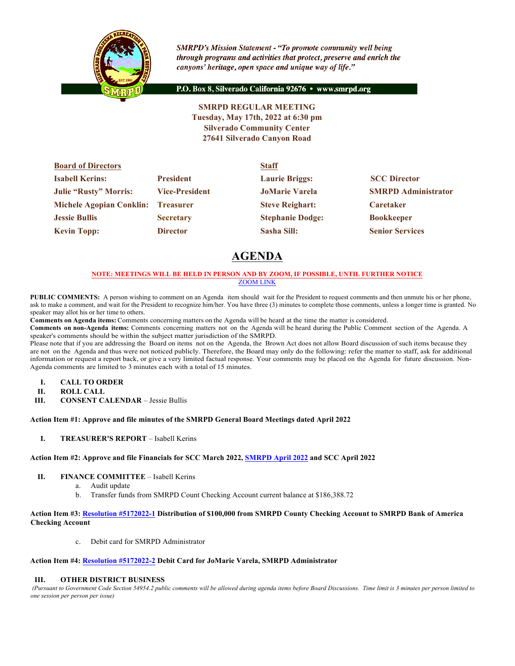

**SMRPD's Mission Statement - "To promote community well being** through programs and activities that protect, preserve and enrich the canyons' heritage, open space and unique way of life."

P.O. Box 8, Silverado California 92676 · www.smrpd.org

**SMRPD REGULAR MEETING Tuesday, May 17th, 2022 at 6:30 pm Silverado Community Center 27641 Silverado Canyon Road**

| <b>Board of Directors</b>          |                       | <b>Staff</b>            |                            |  |
|------------------------------------|-----------------------|-------------------------|----------------------------|--|
| <b>Isabell Kerins:</b>             | <b>President</b>      | <b>Laurie Briggs:</b>   | <b>SCC Director</b>        |  |
| <b>Julie "Rusty" Morris:</b>       | <b>Vice-President</b> | <b>JoMarie Varela</b>   | <b>SMRPD Administrator</b> |  |
| Michele Agopian Conklin: Treasurer |                       | <b>Steve Reighart:</b>  | Caretaker                  |  |
| <b>Jessie Bullis</b>               | <b>Secretary</b>      | <b>Stephanie Dodge:</b> | <b>Bookkeeper</b>          |  |
| <b>Kevin Topp:</b>                 | <b>Director</b>       | <b>Sasha Sill:</b>      | <b>Senior Services</b>     |  |

# **AGENDA**

## **NOTE: MEETINGS WILL BE HELD IN PERSON AND BY ZOOM, IF POSSIBLE, UNTIL FURTHER NOTICE** ZOOM LINK

**PUBLIC COMMENTS:** A person wishing to comment on an Agenda item should wait for the President to request comments and then unmute his or her phone, ask to make a comment, and wait for the President to recognize him/her. You have three (3) minutes to complete those comments, unless a longer time is granted. No speaker may allot his or her time to others.

**Comments on Agenda items:** Comments concerning matters on the Agenda will be heard at the time the matter is considered.

**Comments on non-Agenda items:** Comments concerning matters not on the Agenda will be heard during the Public Comment section of the Agenda. A speaker's comments should be within the subject matter jurisdiction of the SMRPD.

Please note that if you are addressing the Board on items not on the Agenda, the Brown Act does not allow Board discussion of such items because they are not on the Agenda and thus were not noticed publicly. Therefore, the Board may only do the following: refer the matter to staff, ask for additional information or request a report back, or give a very limited factual response. Your comments may be placed on the Agenda for future discussion. Non-Agenda comments are limited to 3 minutes each with a total of 15 minutes.

- **I. CALL TO ORDER**
- **II. ROLL CALL**
- **III. CONSENT CALENDAR** Jessie Bullis

## **Action Item #1: Approve and file minutes of the SMRPD General Board Meetings dated April 2022**

**I. TREASURER'S REPORT** – Isabell Kerins

## **Action Item #2: Approve and file Financials for SCC March 2022, SMRPD April 2022 and SCC April 2022**

- **II. FINANCE COMMITTEE** Isabell Kerins
	- a. Audit update
	- b. Transfer funds from SMRPD Count Checking Account current balance at \$186,388.72

#### **Action Item #3: Resolution #5172022-1 Distribution of \$100,000 from SMRPD County Checking Account to SMRPD Bank of America Checking Account**

c. Debit card for SMRPD Administrator

#### **Action Item #4: Resolution #5172022-2 Debit Card for JoMarie Varela, SMRPD Administrator**

## **III. OTHER DISTRICT BUSINESS**

*(Pursuant to Government Code Section 54954.2 public comments will be allowed during agenda items before Board Discussions. Time limit is 3 minutes per person limited to one session per person per issue)*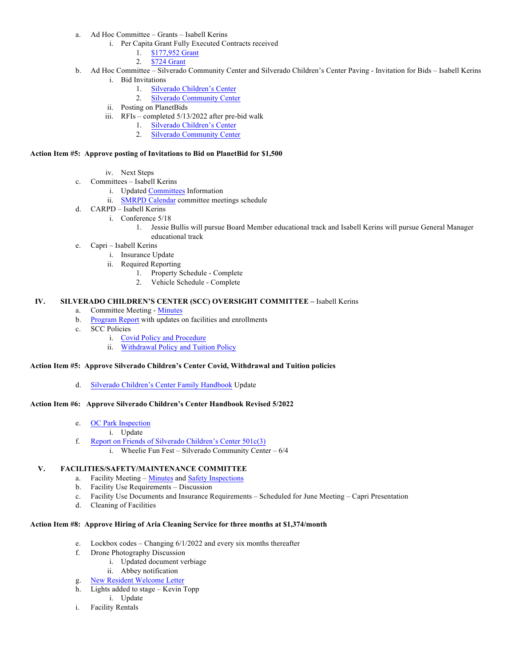- a. Ad Hoc Committee Grants Isabell Kerins
	- i. Per Capita Grant Fully Executed Contracts received
		- 1. \$177,952 Grant
		- 2. \$724 Grant
- b. Ad Hoc Committee Silverado Community Center and Silverado Children's Center Paving Invitation for Bids Isabell Kerins i. Bid Invitations
	- 1. Silverado Children's Center
	- 2. Silverado Community Center
	- ii. Posting on PlanetBids
	- iii. RFIs completed 5/13/2022 after pre-bid walk
		- 1. Silverado Children's Center
		- 2. Silverado Community Center

#### **Action Item #5: Approve posting of Invitations to Bid on PlanetBid for \$1,500**

- iv. Next Steps
- c. Committees Isabell Kerins
	- i. Updated Committees Information
	- ii. SMRPD Calendar committee meetings schedule
- d. CARPD Isabell Kerins
	- i. Conference 5/18
		- 1. Jessie Bullis will pursue Board Member educational track and Isabell Kerins will pursue General Manager educational track
- e. Capri Isabell Kerins
	- i. Insurance Update
	- ii. Required Reporting
		- 1. Property Schedule Complete
		- 2. Vehicle Schedule Complete

#### **IV. SILVERADO CHILDREN'S CENTER (SCC) OVERSIGHT COMMITTEE –** Isabell Kerins

- a. Committee Meeting Minutes
- b. Program Report with updates on facilities and enrollments
- c. SCC Policies
	- i. Covid Policy and Procedure
	- ii. Withdrawal Policy and Tuition Policy

## **Action Item #5: Approve Silverado Children's Center Covid, Withdrawal and Tuition policies**

d. Silverado Children's Center Family Handbook Update

#### **Action Item #6: Approve Silverado Children's Center Handbook Revised 5/2022**

- e. OC Park Inspection
	- i. Update
- f. Report on Friends of Silverado Children's Center 501c(3)
	- i. Wheelie Fun Fest Silverado Community Center 6/4

# **V. FACILITIES/SAFETY/MAINTENANCE COMMITTEE**

- a. Facility Meeting Minutes and Safety Inspections
- b. Facility Use Requirements Discussion
- c. Facility Use Documents and Insurance Requirements Scheduled for June Meeting Capri Presentation
- d. Cleaning of Facilities

# **Action Item #8: Approve Hiring of Aria Cleaning Service for three months at \$1,374/month**

- e. Lockbox codes Changing 6/1/2022 and every six months thereafter
- f. Drone Photography Discussion
	- i. Updated document verbiage
	- ii. Abbey notification
- g. New Resident Welcome Letter
- h. Lights added to stage Kevin Topp
	- i. Update
- i. Facility Rentals